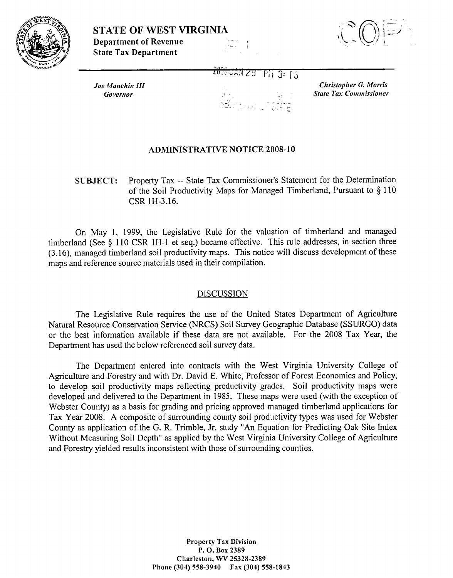



**Joe Manchin III** Governor

<del>2000 JAN 28</del> Fii 3: 15

Christopher G. Morris **State Tax Commissioner** 

## **ADMINISTRATIVE NOTICE 2008-10**

Property Tax -- State Tax Commissioner's Statement for the Determination **SUBJECT:** of the Soil Productivity Maps for Managed Timberland, Pursuant to  $\S 110$ CSR 1H-3.16.

On May 1, 1999, the Legislative Rule for the valuation of timberland and managed timberland (See  $\S$  110 CSR 1H-1 et seq.) became effective. This rule addresses, in section three (3.16), managed timberland soil productivity maps. This notice will discuss development of these maps and reference source materials used in their compilation.

## **DISCUSSION**

The Legislative Rule requires the use of the United States Department of Agriculture Natural Resource Conservation Service (NRCS) Soil Survey Geographic Database (SSURGO) data or the best information available if these data are not available. For the 2008 Tax Year, the Department has used the below referenced soil survey data.

The Department entered into contracts with the West Virginia University College of Agriculture and Forestry and with Dr. David E. White, Professor of Forest Economics and Policy, to develop soil productivity maps reflecting productivity grades. Soil productivity maps were developed and delivered to the Department in 1985. These maps were used (with the exception of Webster County) as a basis for grading and pricing approved managed timberland applications for Tax Year 2008. A composite of surrounding county soil productivity types was used for Webster County as application of the G. R. Trimble, Jr. study "An Equation for Predicting Oak Site Index Without Measuring Soil Depth" as applied by the West Virginia University College of Agriculture and Forestry yielded results inconsistent with those of surrounding counties.

> **Property Tax Division** P.O. Box 2389 Charleston, WV 25328-2389 Phone (304) 558-3940 Fax (304) 558-1843